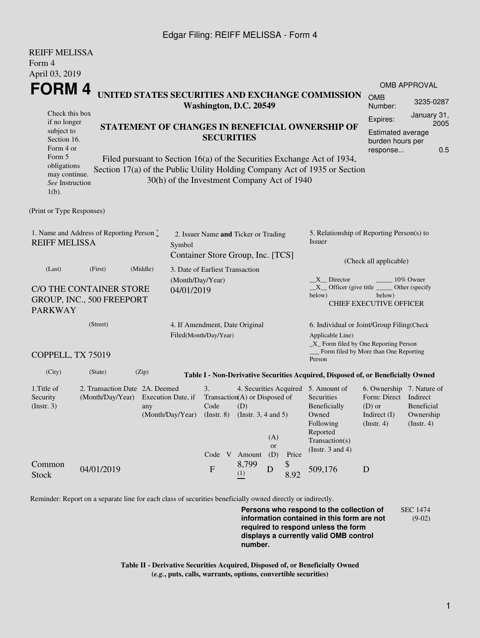## Edgar Filing: REIFF MELISSA - Form 4

REIFF MELISSA

| KEIFF MELISSA<br>Form 4                                                    |                                                                                     |          |                                 |                                                                                                                       |              |                                                                                                         |                                                               |                                                                                                                                                       |                                                                                                              |                                       |  |  |
|----------------------------------------------------------------------------|-------------------------------------------------------------------------------------|----------|---------------------------------|-----------------------------------------------------------------------------------------------------------------------|--------------|---------------------------------------------------------------------------------------------------------|---------------------------------------------------------------|-------------------------------------------------------------------------------------------------------------------------------------------------------|--------------------------------------------------------------------------------------------------------------|---------------------------------------|--|--|
|                                                                            | April 03, 2019<br>FORM 4                                                            |          |                                 |                                                                                                                       |              |                                                                                                         |                                                               |                                                                                                                                                       | <b>OMB APPROVAL</b>                                                                                          |                                       |  |  |
| UNITED STATES SECURITIES AND EXCHANGE COMMISSION<br>Washington, D.C. 20549 |                                                                                     |          |                                 |                                                                                                                       |              |                                                                                                         |                                                               | <b>OMB</b><br>Number:                                                                                                                                 | 3235-0287                                                                                                    |                                       |  |  |
| Check this box<br>if no longer<br>subject to<br>Section 16.<br>Form 4 or   | STATEMENT OF CHANGES IN BENEFICIAL OWNERSHIP OF<br><b>SECURITIES</b>                |          |                                 |                                                                                                                       |              |                                                                                                         | Expires:<br>Estimated average<br>burden hours per<br>response | January 31,<br>2005<br>0.5                                                                                                                            |                                                                                                              |                                       |  |  |
| Form 5<br>obligations<br>may continue.<br>See Instruction<br>$1(b)$ .      |                                                                                     |          |                                 | 30(h) of the Investment Company Act of 1940                                                                           |              |                                                                                                         |                                                               | Filed pursuant to Section 16(a) of the Securities Exchange Act of 1934,<br>Section 17(a) of the Public Utility Holding Company Act of 1935 or Section |                                                                                                              |                                       |  |  |
| (Print or Type Responses)                                                  |                                                                                     |          |                                 |                                                                                                                       |              |                                                                                                         |                                                               |                                                                                                                                                       |                                                                                                              |                                       |  |  |
| 1. Name and Address of Reporting Person $\degree$<br><b>REIFF MELISSA</b>  | 2. Issuer Name and Ticker or Trading<br>Symbol<br>Container Store Group, Inc. [TCS] |          |                                 |                                                                                                                       |              | 5. Relationship of Reporting Person(s) to<br>Issuer                                                     |                                                               |                                                                                                                                                       |                                                                                                              |                                       |  |  |
| (Last)                                                                     | (First)                                                                             | (Middle) | 3. Date of Earliest Transaction |                                                                                                                       |              |                                                                                                         |                                                               |                                                                                                                                                       | (Check all applicable)                                                                                       |                                       |  |  |
| <b>PARKWAY</b>                                                             | C/O THE CONTAINER STORE<br>GROUP, INC., 500 FREEPORT                                |          | (Month/Day/Year)<br>04/01/2019  |                                                                                                                       |              |                                                                                                         |                                                               | $X$ Director<br>$X$ Officer (give title $\frac{X}{X}$<br>below)                                                                                       | below)<br><b>CHIEF EXECUTIVE OFFICER</b>                                                                     | 10% Owner<br>Other (specify           |  |  |
|                                                                            | (Street)<br>4. If Amendment, Date Original<br>Filed(Month/Day/Year)                 |          |                                 |                                                                                                                       |              | 6. Individual or Joint/Group Filing(Check<br>Applicable Line)<br>_X_ Form filed by One Reporting Person |                                                               |                                                                                                                                                       |                                                                                                              |                                       |  |  |
| COPPELL, TX 75019                                                          |                                                                                     |          |                                 |                                                                                                                       |              |                                                                                                         |                                                               | _Form filed by More than One Reporting<br>Person                                                                                                      |                                                                                                              |                                       |  |  |
| (City)                                                                     | (State)                                                                             | (Zip)    |                                 |                                                                                                                       |              |                                                                                                         |                                                               | Table I - Non-Derivative Securities Acquired, Disposed of, or Beneficially Owned                                                                      |                                                                                                              |                                       |  |  |
| 1. Title of<br>Security<br>$($ Instr. 3 $)$                                | 2. Transaction Date 2A. Deemed<br>(Month/Day/Year)                                  | any      | Execution Date, if              | 3.<br>Transaction(A) or Disposed of<br>Code<br>$(Month/Day/Year)$ $(Instr. 8)$ $(Instr. 3, 4 and 5)$<br>Code V Amount | (D)          | (A)<br><b>or</b><br>(D)                                                                                 | Price                                                         | 4. Securities Acquired 5. Amount of<br>Securities<br>Beneficially<br>Owned<br>Following<br>Reported<br>Transaction(s)<br>(Instr. $3$ and $4$ )        | 6. Ownership 7. Nature of<br>Form: Direct Indirect<br>$(D)$ or<br>Indirect (I) Ownership<br>$($ Instr. 4 $)$ | <b>Beneficial</b><br>$($ Instr. 4 $)$ |  |  |
| Common<br><b>Stock</b>                                                     | 04/01/2019                                                                          |          |                                 | $\boldsymbol{\mathrm{F}}$                                                                                             | 8,799<br>(1) | D                                                                                                       | \$<br>8.92                                                    | 509,176                                                                                                                                               | D                                                                                                            |                                       |  |  |

Reminder: Report on a separate line for each class of securities beneficially owned directly or indirectly.

**Persons who respond to the collection of information contained in this form are not required to respond unless the form displays a currently valid OMB control number.** SEC 1474 (9-02)

**Table II - Derivative Securities Acquired, Disposed of, or Beneficially Owned (***e.g.***, puts, calls, warrants, options, convertible securities)**